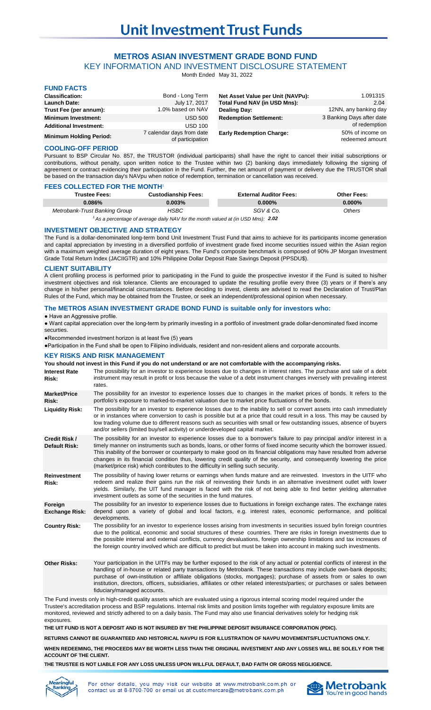# **METRO\$ ASIAN INVESTMENT GRADE BOND FUND**

KEY INFORMATION AND INVESTMENT DISCLOSURE STATEMENT

Month Ended May 31, 2022

| <b>FUND FACTS</b>              |                                               |                                   |                                     |
|--------------------------------|-----------------------------------------------|-----------------------------------|-------------------------------------|
| <b>Classification:</b>         | Bond - Long Term                              | Net Asset Value per Unit (NAVPu): | 1.091315                            |
| <b>Launch Date:</b>            | July 17, 2017                                 | Total Fund NAV (in USD Mns):      | 2.04                                |
| Trust Fee (per annum):         | 1.0% based on NAV                             | Dealing Day:                      | 12NN, any banking day               |
| <b>Minimum Investment:</b>     | <b>USD 500</b>                                | <b>Redemption Settlement:</b>     | 3 Banking Days after date           |
| <b>Additional Investment:</b>  | <b>USD 100</b>                                |                                   | of redemption                       |
| <b>Minimum Holding Period:</b> | 7 calendar days from date<br>of participation | <b>Early Redemption Charge:</b>   | 50% of income on<br>redeemed amount |

### **COOLING-OFF PERIOD**

Pursuant to BSP Circular No. 857, the TRUSTOR (individual participants) shall have the right to cancel their initial subscriptions or contributions, without penalty, upon written notice to the Trustee within two (2) banking days immediately following the signing of agreement or contract evidencing their participation in the Fund. Further, the net amount of payment or delivery due the TRUSTOR shall be based on the transaction day's NAVpu when notice of redemption, termination or cancellation was received.

### **FEES COLLECTED FOR THE MONTH'**

| Trustee Fees:                 | <b>Custodianship Fees:</b>                                                                      | <b>External Auditor Fees:</b> | <b>Other Fees:</b> |
|-------------------------------|-------------------------------------------------------------------------------------------------|-------------------------------|--------------------|
| $0.086\%$                     | 0.003%                                                                                          | $0.000\%$                     | $0.000\%$          |
| Metrobank-Trust Banking Group | HSBC                                                                                            | SGV & Co.                     | Others             |
|                               | $\lambda$ . The second state of the second state of the second state of $\lambda$ and $\lambda$ |                               |                    |

<sup>1</sup> As a percentage of average daily NAV for the month valued at (in USD Mns): **2.02** 

### **INVESTMENT OBJECTIVE AND STRATEGY**

The Fund is a dollar-denominated long-term bond Unit Investment Trust Fund that aims to achieve for its participants income generation and capital appreciation by investing in a diversified portfolio of investment grade fixed income securities issued within the Asian region with a maximum weighted average duration of eight years. The Fund's composite benchmark is composed of 90% JP Morgan Investment Grade Total Return Index (JACIIGTR) and 10% Philippine Dollar Deposit Rate Savings Deposit (PPSDU\$).

### **CLIENT SUITABILITY**

A client profiling process is performed prior to participating in the Fund to guide the prospective investor if the Fund is suited to his/her investment objectives and risk tolerance. Clients are encouraged to update the resulting profile every three (3) years or if there's any change in his/her personal/financial circumstances. Before deciding to invest, clients are advised to read the Declaration of Trust/Plan Rules of the Fund, which may be obtained from the Trustee, or seek an independent/professional opinion when necessary.

### **The METRO\$ ASIAN INVESTMENT GRADE BOND FUND is suitable only for investors who:**

### ● Have an Aggressive profile.

● Want capital appreciation over the long-term by primarily investing in a portfolio of investment grade dollar-denominated fixed income securties.

●Recommended investment horizon is at least five (5) years

●Participation in the Fund shall be open to Filipino individuals, resident and non-resident aliens and corporate accounts.

### **KEY RISKS AND RISK MANAGEMENT**

**You should not invest in this Fund if you do not understand or are not comfortable with the accompanying risks.**

| <b>Interest Rate</b><br>Risk:                | The possibility for an investor to experience losses due to changes in interest rates. The purchase and sale of a debt<br>instrument may result in profit or loss because the value of a debt instrument changes inversely with prevailing interest<br>rates.                                                                                                                                                                                                                                                                                                                            |
|----------------------------------------------|------------------------------------------------------------------------------------------------------------------------------------------------------------------------------------------------------------------------------------------------------------------------------------------------------------------------------------------------------------------------------------------------------------------------------------------------------------------------------------------------------------------------------------------------------------------------------------------|
| <b>Market/Price</b><br>Risk:                 | The possibility for an investor to experience losses due to changes in the market prices of bonds. It refers to the<br>portfolio's exposure to marked-to-market valuation due to market price fluctuations of the bonds.                                                                                                                                                                                                                                                                                                                                                                 |
| <b>Liquidity Risk:</b>                       | The possibility for an investor to experience losses due to the inability to sell or convert assets into cash immediately<br>or in instances where conversion to cash is possible but at a price that could result in a loss. This may be caused by<br>low trading volume due to different reasons such as securities with small or few outstanding issues, absence of buyers<br>and/or sellers (limited buy/sell activity) or underdeveloped capital market.                                                                                                                            |
| <b>Credit Risk /</b><br><b>Default Risk:</b> | The possibility for an investor to experience losses due to a borrower's failure to pay principal and/or interest in a<br>timely manner on instruments such as bonds, loans, or other forms of fixed income security which the borrower issued.<br>This inability of the borrower or counterparty to make good on its financial obligations may have resulted from adverse<br>changes in its financial condition thus, lowering credit quality of the security, and consequently lowering the price<br>(market/price risk) which contributes to the difficulty in selling such security. |
| <b>Reinvestment</b><br>Risk:                 | The possibility of having lower returns or earnings when funds mature and are reinvested. Investors in the UITF who<br>redeem and realize their gains run the risk of reinvesting their funds in an alternative investment outlet with lower<br>yields. Similarly, the UIT fund manager is faced with the risk of not being able to find better yielding alternative<br>investment outlets as some of the securities in the fund matures.                                                                                                                                                |
| Foreign<br><b>Exchange Risk:</b>             | The possibility for an investor to experience losses due to fluctuations in foreign exchange rates. The exchange rates<br>depend upon a variety of global and local factors, e.g. interest rates, economic performance, and political<br>developments.                                                                                                                                                                                                                                                                                                                                   |
| <b>Country Risk:</b>                         | The possibility for an investor to experience losses arising from investments in securities issued by/in foreign countries<br>due to the political, economic and social structures of these countries. There are risks in foreign investments due to<br>the possible internal and external conflicts, currency devaluations, foreign ownership limitations and tax increases of<br>the foreign country involved which are difficult to predict but must be taken into account in making such investments.                                                                                |
| <b>Other Risks:</b>                          | Your participation in the UITFs may be further exposed to the risk of any actual or potential conflicts of interest in the<br>handling of in-house or related party transactions by Metrobank. These transactions may include own-bank deposits;<br>purchase of own-institution or affiliate obligations (stocks, mortgages); purchase of assets from or sales to own<br>institution, directors, officers, subsidiaries, affiliates or other related interests/parties; or purchases or sales between                                                                                    |

fiduciary/managed accounts. The Fund invests only in high-credit quality assets which are evaluated using a rigorous internal scoring model required under the Trustee's accreditation process and BSP regulations. Internal risk limits and position limits together with regulatory exposure limits are monitored, reviewed and strictly adhered to on a daily basis. The Fund may also use financial derivatives solely for hedging risk

**THE UIT FUND IS NOT A DEPOSIT AND IS NOT INSURED BY THE PHILIPPINE DEPOSIT INSURANCE CORPORATION (PDIC).**

**RETURNS CANNOT BE GUARANTEED AND HISTORICAL NAVPU IS FOR ILLUSTRATION OF NAVPU MOVEMENTS/FLUCTUATIONS ONLY.**

**WHEN REDEEMING, THE PROCEEDS MAY BE WORTH LESS THAN THE ORIGINAL INVESTMENT AND ANY LOSSES WILL BE SOLELY FOR THE ACCOUNT OF THE CLIENT.**

**THE TRUSTEE IS NOT LIABLE FOR ANY LOSS UNLESS UPON WILLFUL DEFAULT, BAD FAITH OR GROSS NEGLIGENCE.**



exposures.

For other details, you may visit our website at www.metrobank.com.ph or contact us at 8-8700-700 or email us at customercare@metrobank.com.ph

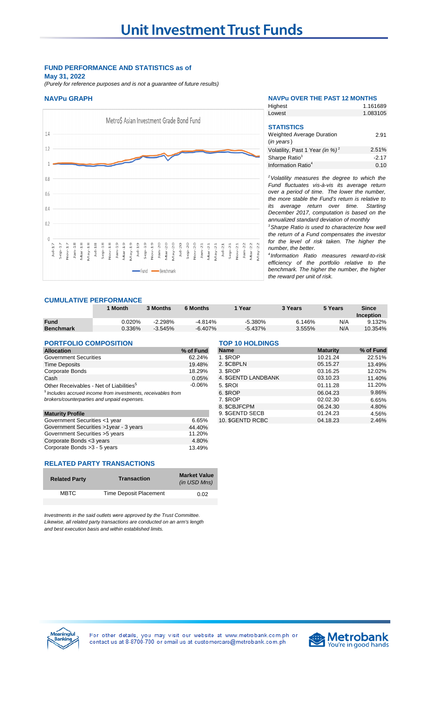## **FUND PERFORMANCE AND STATISTICS as of May 31, 2022**

*(Purely for reference purposes and is not a guarantee of future results)*



### **NAVPu GRAPH NAVPu OVER THE PAST 12 MONTHS** 1.161689 Highest

Lowest

| <b>STATISTICS</b>                           |         |
|---------------------------------------------|---------|
| <b>Weighted Average Duration</b>            | 2.91    |
| $(in \text{ years})$                        |         |
| Volatility, Past 1 Year (in %) <sup>2</sup> | 2.51%   |
| Sharpe Ratio <sup>3</sup>                   | $-2.17$ |
| Information Ratio <sup>4</sup>              | 0.10    |
|                                             |         |

1.083105

*<sup>2</sup>Volatility measures the degree to which the Fund fluctuates vis-à-vis its average return over a period of time. The lower the number, the more stable the Fund's return is relative to its average return over time. Starting December 2017, computation is based on the annualized standard deviation of monthly* 

*<sup>3</sup>Sharpe Ratio is used to characterize how well the return of a Fund compensates the investor for the level of risk taken. The higher the number, the better.*

*4 Information Ratio measures reward-to-risk efficiency of the portfolio relative to the benchmark. The higher the number, the higher the reward per unit of risk.*

### **CUMULATIVE PERFORMANCE**

|                  | Month  | 3 Months  | 6 Months  | Year      | 3 Years | 5 Years | Since     |
|------------------|--------|-----------|-----------|-----------|---------|---------|-----------|
|                  |        |           |           |           |         |         | Inception |
| <b>Fund</b>      | 0.020% | $-2.298%$ | $-4.814%$ | $-5.380%$ | 6.146%  | N/A     | 9.132%    |
| <b>Benchmark</b> | 0.336% | $-3.545%$ | $-6.407%$ | $-5.437%$ | 3.555%  | N/A     | 10.354%   |

| <b>PORTFOLIO COMPOSITION</b>                                   | <b>TOP 10 HOLDINGS</b> |                    |                 |           |
|----------------------------------------------------------------|------------------------|--------------------|-----------------|-----------|
| <b>Allocation</b>                                              | % of Fund              | <b>Name</b>        | <b>Maturity</b> | % of Fund |
| <b>Government Securities</b>                                   | 62.24%                 | 1. <b>SROP</b>     | 10.21.24        | 22.51%    |
| <b>Time Deposits</b>                                           | 19.48%                 | 2. SCBPLN          | 05.15.27        | 13.49%    |
| <b>Corporate Bonds</b>                                         | 18.29%                 | 3. \$ROP           | 03.16.25        | 12.02%    |
| Cash                                                           | 0.05%                  | 4. SGENTD LANDBANK | 03.10.23        | 11.40%    |
| Other Receivables - Net of Liabilities <sup>5</sup>            | $-0.06%$               | 5. <b>\$ROI</b>    | 01.11.28        | 11.20%    |
| $5$ Includes accrued income from investments, receivables from |                        | 6. SROP            | 06.04.23        | 9.86%     |
| brokers/counterparties and unpaid expenses.                    |                        | 7. SROP            | 02.02.30        | 6.65%     |
|                                                                |                        | 8. SCBJFCPM        | 06.24.30        | 4.80%     |
| <b>Maturity Profile</b>                                        |                        | 9. SGENTD SECB     | 01.24.23        | 4.56%     |
| Government Securities <1 year                                  | 6.65%                  | 10. SGENTD RCBC    | 04.18.23        | 2.46%     |
| Government Securities >1year - 3 years                         | 44.40%                 |                    |                 |           |
| Government Securities > 5 years                                | 11.20%                 |                    |                 |           |
| Corporate Bonds <3 years                                       | 4.80%                  |                    |                 |           |

| <b>PORTFOLIO COMPOSITION</b>                                   |             | <b>TOP 10 HOLDINGS</b> |                 |           |  |
|----------------------------------------------------------------|-------------|------------------------|-----------------|-----------|--|
| <b>Allocation</b>                                              | % of Fund   | <b>Name</b>            | <b>Maturity</b> | % of Fund |  |
| Government Securities                                          | 62.24%      | 1. SROP                | 10.21.24        | 22.51%    |  |
| Time Deposits                                                  | 19.48%      | 2. SCBPLN              | 05.15.27        | 13.49%    |  |
| Corporate Bonds                                                | 18.29%      | 3. SROP                | 03.16.25        | 12.02%    |  |
| Cash                                                           | 0.05%       | 4. SGENTD LANDBANK     | 03.10.23        | 11.40%    |  |
| Other Receivables - Net of Liabilities <sup>5</sup>            | -0.06%      | 5. SROI                | 01.11.28        | 11.20%    |  |
| $5$ Includes accrued income from investments, receivables from |             | 6. SROP                | 06.04.23        | 9.86%     |  |
| brokers/counterparties and unpaid expenses.                    |             | 7. SROP                | 02.02.30        | 6.65%     |  |
|                                                                |             | 8. SCBJFCPM            | 06.24.30        | 4.80%     |  |
| <b>Maturity Profile</b>                                        |             | 9. \$GENTD SECB        | 01.24.23        | 4.56%     |  |
| Government Securities <1 year                                  | <b>665%</b> | 10 SGENTD RCBC         | 04 18 23        | 2.46%     |  |

### **RELATED PARTY TRANSACTIONS**

| <b>Related Party</b> | <b>Transaction</b>     | <b>Market Value</b><br>(in USD Mns) |
|----------------------|------------------------|-------------------------------------|
| <b>MBTC</b>          | Time Deposit Placement | 0.02                                |
|                      |                        |                                     |

Corporate Bonds > 3 - 5 years 13.49%

*Investments in the said outlets were approved by the Trust Committee. Likewise, all related party transactions are conducted on an arm's length and best execution basis and within established limits.*



For other details, you may visit our website at www.metrobank.com.ph or contact us at 8-8700-700 or email us at customercare@metrobank.com.ph